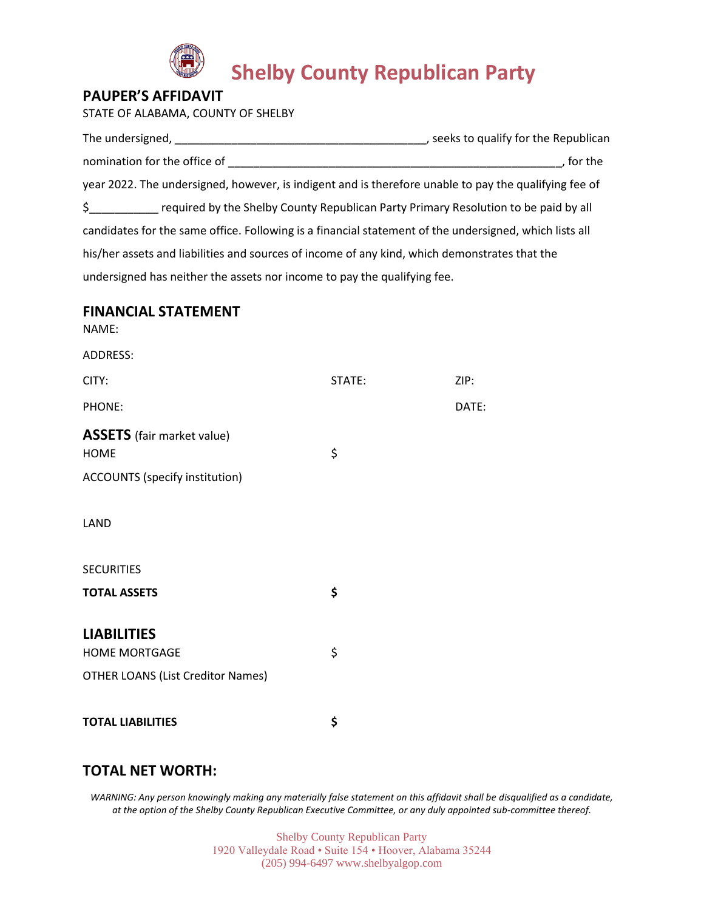

# **Shelby County Republican Party**

## **PAUPER'S AFFIDAVIT**

STATE OF ALABAMA, COUNTY OF SHELBY

| The undersigned,                                                                                       | , seeks to qualify for the Republican |
|--------------------------------------------------------------------------------------------------------|---------------------------------------|
| nomination for the office of                                                                           | for the                               |
| year 2022. The undersigned, however, is indigent and is therefore unable to pay the qualifying fee of  |                                       |
| $\sharp$<br>required by the Shelby County Republican Party Primary Resolution to be paid by all        |                                       |
| candidates for the same office. Following is a financial statement of the undersigned, which lists all |                                       |
| his/her assets and liabilities and sources of income of any kind, which demonstrates that the          |                                       |
| undersigned has neither the assets nor income to pay the qualifying fee.                               |                                       |

## **FINANCIAL STATEMENT**

NAME:

| ADDRESS:                                                                               |        |       |
|----------------------------------------------------------------------------------------|--------|-------|
| CITY:                                                                                  | STATE: | ZIP:  |
| PHONE:                                                                                 |        | DATE: |
| <b>ASSETS</b> (fair market value)<br><b>HOME</b><br>ACCOUNTS (specify institution)     | \$     |       |
| LAND                                                                                   |        |       |
| <b>SECURITIES</b><br><b>TOTAL ASSETS</b>                                               | \$     |       |
| <b>LIABILITIES</b><br><b>HOME MORTGAGE</b><br><b>OTHER LOANS (List Creditor Names)</b> | \$     |       |
| <b>TOTAL LIABILITIES</b>                                                               | \$     |       |
|                                                                                        |        |       |

## **TOTAL NET WORTH:**

*WARNING: Any person knowingly making any materially false statement on this affidavit shall be disqualified as a candidate, at the option of the Shelby County Republican Executive Committee, or any duly appointed sub-committee thereof.*

> Shelby County Republican Party 1920 Valleydale Road • Suite 154 • Hoover, Alabama 35244 (205) 994-6497 www.shelbyalgop.com